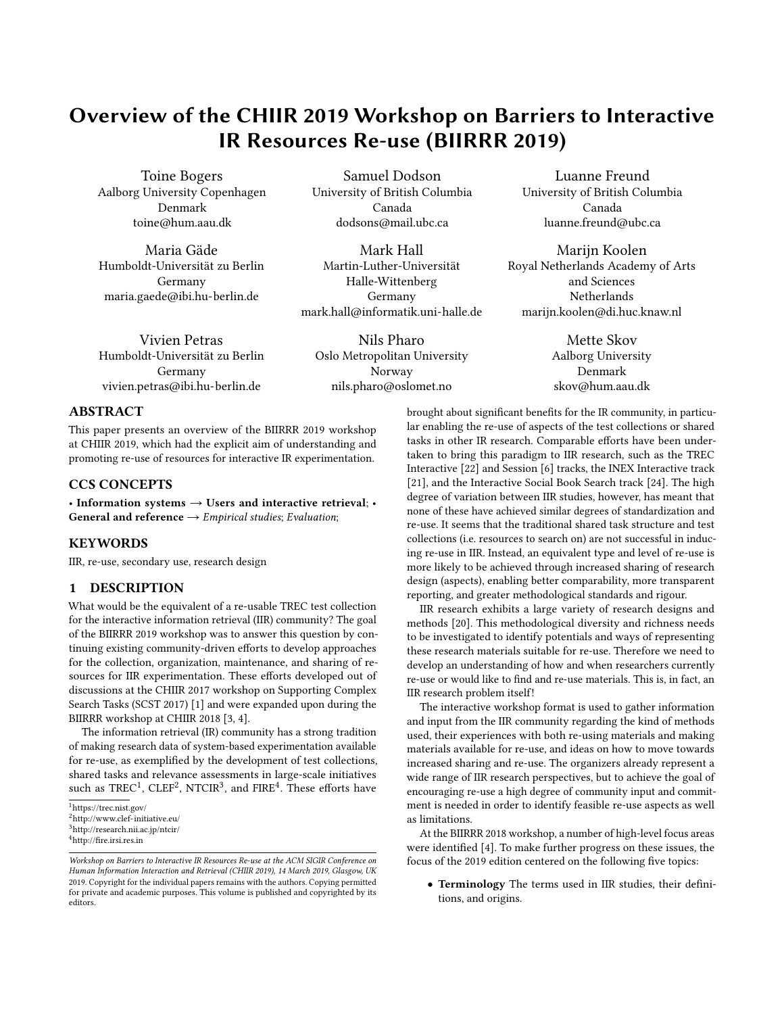# <span id="page-0-0"></span>Overview of the CHIIR 2019 Workshop on Barriers to Interactive IR Resources Re-use (BIIRRR 2019)

Toine Bogers Aalborg University Copenhagen Denmark toine@hum.aau.dk

Maria Gäde Humboldt-Universität zu Berlin Germany maria.gaede@ibi.hu-berlin.de

Samuel Dodson University of British Columbia Canada dodsons@mail.ubc.ca

Mark Hall Martin-Luther-Universität Halle-Wittenberg Germany mark.hall@informatik.uni-halle.de

Vivien Petras Humboldt-Universität zu Berlin Germany vivien.petras@ibi.hu-berlin.de

Nils Pharo Oslo Metropolitan University Norway nils.pharo@oslomet.no

Luanne Freund University of British Columbia Canada luanne.freund@ubc.ca

Marijn Koolen Royal Netherlands Academy of Arts and Sciences **Netherlands** marijn.koolen@di.huc.knaw.nl

> Mette Skov Aalborg University Denmark skov@hum.aau.dk

### ABSTRACT

This paper presents an overview of the BIIRRR 2019 workshop at CHIIR 2019, which had the explicit aim of understanding and promoting re-use of resources for interactive IR experimentation.

# CCS CONCEPTS

• Information systems  $\rightarrow$  Users and interactive retrieval; • General and reference  $\rightarrow$  *Empirical studies*; *Evaluation*;

#### KEYWORDS

IIR, re-use, secondary use, research design

### 1 DESCRIPTION

What would be the equivalent of a re-usable TREC test collection for the interactive information retrieval (IIR) community? The goal of the BIIRRR 2019 workshop was to answer this question by continuing existing community-driven efforts to develop approaches for the collection, organization, maintenance, and sharing of resources for IIR experimentation. These efforts developed out of discussions at the CHIIR 2017 workshop on Supporting Complex Search Tasks (SCST 2017) [\[1\]](#page-4-0) and were expanded upon during the BIIRRR workshop at CHIIR 2018 [\[3,](#page-4-1) [4\]](#page-4-2).

The information retrieval (IR) community has a strong tradition of making research data of system-based experimentation available for re-use, as exemplified by the development of test collections, shared tasks and relevance assessments in large-scale initiatives such as  $\mathrm{TREC^1}, \, \mathrm{CDEF^2}, \, \mathrm{NTCIR^3},$  and  $\mathrm{FIRE^4}.$  These efforts have

brought about significant benefits for the IR community, in particular enabling the re-use of aspects of the test collections or shared tasks in other IR research. Comparable efforts have been undertaken to bring this paradigm to IIR research, such as the TREC Interactive [\[22\]](#page-5-0) and Session [\[6\]](#page-4-3) tracks, the INEX Interactive track [\[21\]](#page-5-1), and the Interactive Social Book Search track [\[24\]](#page-5-2). The high degree of variation between IIR studies, however, has meant that none of these have achieved similar degrees of standardization and re-use. It seems that the traditional shared task structure and test collections (i.e. resources to search on) are not successful in inducing re-use in IIR. Instead, an equivalent type and level of re-use is more likely to be achieved through increased sharing of research design (aspects), enabling better comparability, more transparent reporting, and greater methodological standards and rigour.

IIR research exhibits a large variety of research designs and methods [\[20\]](#page-5-3). This methodological diversity and richness needs to be investigated to identify potentials and ways of representing these research materials suitable for re-use. Therefore we need to develop an understanding of how and when researchers currently re-use or would like to find and re-use materials. This is, in fact, an IIR research problem itself!

The interactive workshop format is used to gather information and input from the IIR community regarding the kind of methods used, their experiences with both re-using materials and making materials available for re-use, and ideas on how to move towards increased sharing and re-use. The organizers already represent a wide range of IIR research perspectives, but to achieve the goal of encouraging re-use a high degree of community input and commitment is needed in order to identify feasible re-use aspects as well as limitations.

At the BIIRRR 2018 workshop, a number of high-level focus areas were identified [\[4\]](#page-4-2). To make further progress on these issues, the focus of the 2019 edition centered on the following five topics:

• Terminology The terms used in IIR studies, their definitions, and origins.

<sup>1</sup><https://trec.nist.gov/>

<sup>2</sup><http://www.clef-initiative.eu/>

<sup>3</sup><http://research.nii.ac.jp/ntcir/>

<sup>4</sup><http://fire.irsi.res.in>

Workshop on Barriers to Interactive IR Resources Re-use at the ACM SIGIR Conference on Human Information Interaction and Retrieval (CHIIR 2019), 14 March 2019, Glasgow, UK 2019. Copyright for the individual papers remains with the authors. Copying permitted for private and academic purposes. This volume is published and copyrighted by its editors.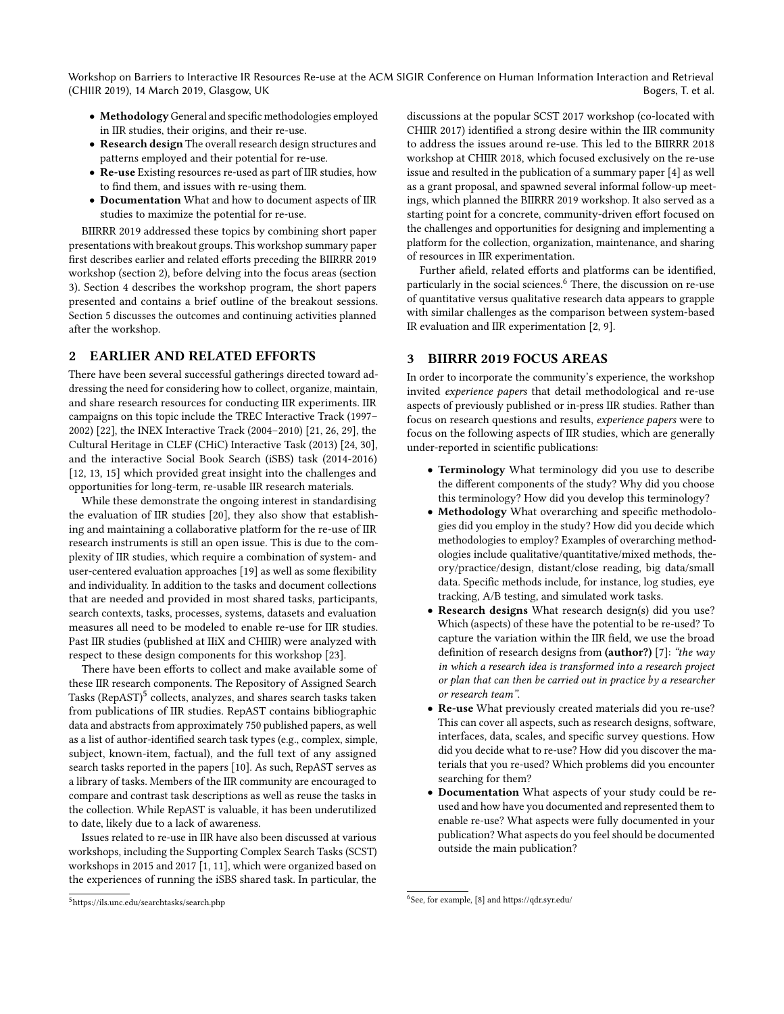Workshop on Barriers to Interactive IR Resources Re-use at the ACM SIGIR Conference on Human Information Interaction and Retrieval (CHIIR 2019), 14 March 2019, Glasgow, UK Bogers, T. et al.

- MethodologyGeneral and specific methodologies employed in IIR studies, their origins, and their re-use.
- Research design The overall research design structures and patterns employed and their potential for re-use.
- Re-use Existing resources re-used as part of IIR studies, how to find them, and issues with re-using them.
- Documentation What and how to document aspects of IIR studies to maximize the potential for re-use.

BIIRRR 2019 addressed these topics by combining short paper presentations with breakout groups. This workshop summary paper first describes earlier and related efforts preceding the BIIRRR 2019 workshop (section 2), before delving into the focus areas (section 3). Section 4 describes the workshop program, the short papers presented and contains a brief outline of the breakout sessions. Section 5 discusses the outcomes and continuing activities planned after the workshop.

## 2 EARLIER AND RELATED EFFORTS

There have been several successful gatherings directed toward addressing the need for considering how to collect, organize, maintain, and share research resources for conducting IIR experiments. IIR campaigns on this topic include the TREC Interactive Track (1997– 2002) [\[22\]](#page-5-0), the INEX Interactive Track (2004–2010) [\[21,](#page-5-1) [26,](#page-5-4) [29\]](#page-5-5), the Cultural Heritage in CLEF (CHiC) Interactive Task (2013) [\[24,](#page-5-2) [30\]](#page-5-6), and the interactive Social Book Search (iSBS) task (2014-2016) [\[12,](#page-4-4) [13,](#page-4-5) [15\]](#page-5-7) which provided great insight into the challenges and opportunities for long-term, re-usable IIR research materials.

While these demonstrate the ongoing interest in standardising the evaluation of IIR studies [\[20\]](#page-5-3), they also show that establishing and maintaining a collaborative platform for the re-use of IIR research instruments is still an open issue. This is due to the complexity of IIR studies, which require a combination of system- and user-centered evaluation approaches [\[19\]](#page-5-8) as well as some flexibility and individuality. In addition to the tasks and document collections that are needed and provided in most shared tasks, participants, search contexts, tasks, processes, systems, datasets and evaluation measures all need to be modeled to enable re-use for IIR studies. Past IIR studies (published at IIiX and CHIIR) were analyzed with respect to these design components for this workshop [\[23\]](#page-5-9).

There have been efforts to collect and make available some of these IIR research components. The Repository of Assigned Search Tasks (RepAST)<sup>[5](#page-0-0)</sup> collects, analyzes, and shares search tasks taken from publications of IIR studies. RepAST contains bibliographic data and abstracts from approximately 750 published papers, as well as a list of author-identified search task types (e.g., complex, simple, subject, known-item, factual), and the full text of any assigned search tasks reported in the papers [\[10\]](#page-4-6). As such, RepAST serves as a library of tasks. Members of the IIR community are encouraged to compare and contrast task descriptions as well as reuse the tasks in the collection. While RepAST is valuable, it has been underutilized to date, likely due to a lack of awareness.

Issues related to re-use in IIR have also been discussed at various workshops, including the Supporting Complex Search Tasks (SCST) workshops in 2015 and 2017 [\[1,](#page-4-0) [11\]](#page-4-7), which were organized based on the experiences of running the iSBS shared task. In particular, the

Further afield, related efforts and platforms can be identified, particularly in the social sciences.<sup>[6](#page-0-0)</sup> There, the discussion on re-use of quantitative versus qualitative research data appears to grapple with similar challenges as the comparison between system-based IR evaluation and IIR experimentation [\[2,](#page-4-8) [9\]](#page-4-9).

# 3 BIIRRR 2019 FOCUS AREAS

In order to incorporate the community's experience, the workshop invited experience papers that detail methodological and re-use aspects of previously published or in-press IIR studies. Rather than focus on research questions and results, experience papers were to focus on the following aspects of IIR studies, which are generally under-reported in scientific publications:

- Terminology What terminology did you use to describe the different components of the study? Why did you choose this terminology? How did you develop this terminology?
- Methodology What overarching and specific methodologies did you employ in the study? How did you decide which methodologies to employ? Examples of overarching methodologies include qualitative/quantitative/mixed methods, theory/practice/design, distant/close reading, big data/small data. Specific methods include, for instance, log studies, eye tracking, A/B testing, and simulated work tasks.
- Research designs What research design(s) did you use? Which (aspects) of these have the potential to be re-used? To capture the variation within the IIR field, we use the broad definition of research designs from (author?) [\[7\]](#page-4-10): "the way in which a research idea is transformed into a research project or plan that can then be carried out in practice by a researcher or research team".
- Re-use What previously created materials did you re-use? This can cover all aspects, such as research designs, software, interfaces, data, scales, and specific survey questions. How did you decide what to re-use? How did you discover the materials that you re-used? Which problems did you encounter searching for them?
- Documentation What aspects of your study could be reused and how have you documented and represented them to enable re-use? What aspects were fully documented in your publication? What aspects do you feel should be documented outside the main publication?

discussions at the popular SCST 2017 workshop (co-located with CHIIR 2017) identified a strong desire within the IIR community to address the issues around re-use. This led to the BIIRRR 2018 workshop at CHIIR 2018, which focused exclusively on the re-use issue and resulted in the publication of a summary paper [\[4\]](#page-4-2) as well as a grant proposal, and spawned several informal follow-up meetings, which planned the BIIRRR 2019 workshop. It also served as a starting point for a concrete, community-driven effort focused on the challenges and opportunities for designing and implementing a platform for the collection, organization, maintenance, and sharing of resources in IIR experimentation.

<sup>6</sup> See, for example, [\[8\]](#page-4-11) and<https://qdr.syr.edu/>

<sup>5</sup><https://ils.unc.edu/searchtasks/search.php>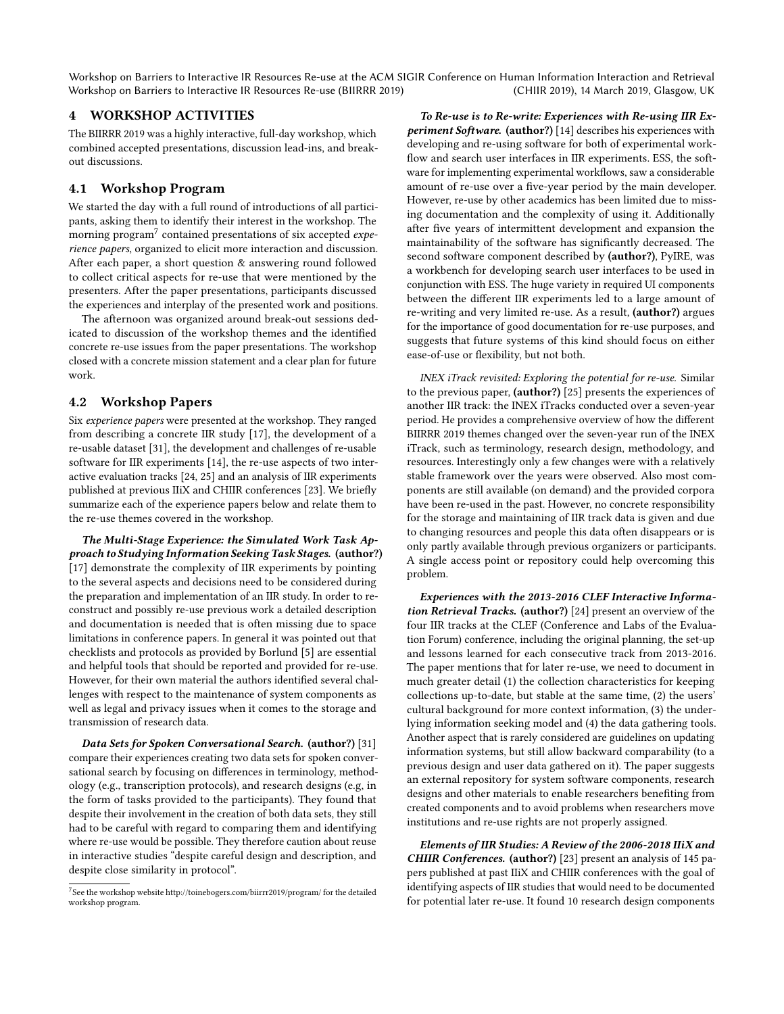Workshop on Barriers to Interactive IR Resources Re-use (BIIRRR 2019) Workshop on Barriers to Interactive IR Resources Re-use at the ACM SIGIR Conference on Human Information Interaction and Retrieval (CHIIR 2019), 14 March 2019, Glasgow, UK

## 4 WORKSHOP ACTIVITIES

The BIIRRR 2019 was a highly interactive, full-day workshop, which combined accepted presentations, discussion lead-ins, and breakout discussions.

## 4.1 Workshop Program

We started the day with a full round of introductions of all participants, asking them to identify their interest in the workshop. The morning program $^7$  $^7$  contained presentations of six accepted  $\it{expe}$ rience papers, organized to elicit more interaction and discussion. After each paper, a short question & answering round followed to collect critical aspects for re-use that were mentioned by the presenters. After the paper presentations, participants discussed the experiences and interplay of the presented work and positions.

The afternoon was organized around break-out sessions dedicated to discussion of the workshop themes and the identified concrete re-use issues from the paper presentations. The workshop closed with a concrete mission statement and a clear plan for future work.

#### 4.2 Workshop Papers

Six experience papers were presented at the workshop. They ranged from describing a concrete IIR study [\[17\]](#page-5-10), the development of a re-usable dataset [\[31\]](#page-5-11), the development and challenges of re-usable software for IIR experiments [\[14\]](#page-4-12), the re-use aspects of two interactive evaluation tracks [\[24,](#page-5-2) [25\]](#page-5-12) and an analysis of IIR experiments published at previous IIiX and CHIIR conferences [\[23\]](#page-5-9). We briefly summarize each of the experience papers below and relate them to the re-use themes covered in the workshop.

The Multi-Stage Experience: the Simulated Work Task Approach to Studying Information Seeking Task Stages. (author?) [\[17\]](#page-5-10) demonstrate the complexity of IIR experiments by pointing to the several aspects and decisions need to be considered during the preparation and implementation of an IIR study. In order to reconstruct and possibly re-use previous work a detailed description and documentation is needed that is often missing due to space limitations in conference papers. In general it was pointed out that checklists and protocols as provided by Borlund [\[5\]](#page-4-13) are essential and helpful tools that should be reported and provided for re-use. However, for their own material the authors identified several challenges with respect to the maintenance of system components as well as legal and privacy issues when it comes to the storage and transmission of research data.

Data Sets for Spoken Conversational Search. (author?) [\[31\]](#page-5-11) compare their experiences creating two data sets for spoken conversational search by focusing on differences in terminology, methodology (e.g., transcription protocols), and research designs (e.g, in the form of tasks provided to the participants). They found that despite their involvement in the creation of both data sets, they still had to be careful with regard to comparing them and identifying where re-use would be possible. They therefore caution about reuse in interactive studies "despite careful design and description, and despite close similarity in protocol".

To Re-use is to Re-write: Experiences with Re-using IIR Ex-periment Software. (author?) [\[14\]](#page-4-12) describes his experiences with developing and re-using software for both of experimental workflow and search user interfaces in IIR experiments. ESS, the software for implementing experimental workflows, saw a considerable amount of re-use over a five-year period by the main developer. However, re-use by other academics has been limited due to missing documentation and the complexity of using it. Additionally after five years of intermittent development and expansion the maintainability of the software has significantly decreased. The second software component described by [\(author?\)](#page-4-12), PyIRE, was a workbench for developing search user interfaces to be used in conjunction with ESS. The huge variety in required UI components between the different IIR experiments led to a large amount of re-writing and very limited re-use. As a result, [\(author?\)](#page-4-12) argues for the importance of good documentation for re-use purposes, and suggests that future systems of this kind should focus on either ease-of-use or flexibility, but not both.

INEX iTrack revisited: Exploring the potential for re-use. Similar to the previous paper, (author?) [\[25\]](#page-5-12) presents the experiences of another IIR track: the INEX iTracks conducted over a seven-year period. He provides a comprehensive overview of how the different BIIRRR 2019 themes changed over the seven-year run of the INEX iTrack, such as terminology, research design, methodology, and resources. Interestingly only a few changes were with a relatively stable framework over the years were observed. Also most components are still available (on demand) and the provided corpora have been re-used in the past. However, no concrete responsibility for the storage and maintaining of IIR track data is given and due to changing resources and people this data often disappears or is only partly available through previous organizers or participants. A single access point or repository could help overcoming this problem.

Experiences with the 2013-2016 CLEF Interactive Information Retrieval Tracks. (author?) [\[24\]](#page-5-2) present an overview of the four IIR tracks at the CLEF (Conference and Labs of the Evaluation Forum) conference, including the original planning, the set-up and lessons learned for each consecutive track from 2013-2016. The paper mentions that for later re-use, we need to document in much greater detail (1) the collection characteristics for keeping collections up-to-date, but stable at the same time, (2) the users' cultural background for more context information, (3) the underlying information seeking model and (4) the data gathering tools. Another aspect that is rarely considered are guidelines on updating information systems, but still allow backward comparability (to a previous design and user data gathered on it). The paper suggests an external repository for system software components, research designs and other materials to enable researchers benefiting from created components and to avoid problems when researchers move institutions and re-use rights are not properly assigned.

Elements of IIR Studies: A Review of the 2006-2018 IIiX and CHIIR Conferences. (author?) [\[23\]](#page-5-9) present an analysis of 145 papers published at past IIiX and CHIIR conferences with the goal of identifying aspects of IIR studies that would need to be documented for potential later re-use. It found 10 research design components

<sup>7</sup> See the workshop websit[e http://toinebogers.com/biirrr2019/program/](http://toinebogers.com/biirrr2019/program/) for the detailed workshop program.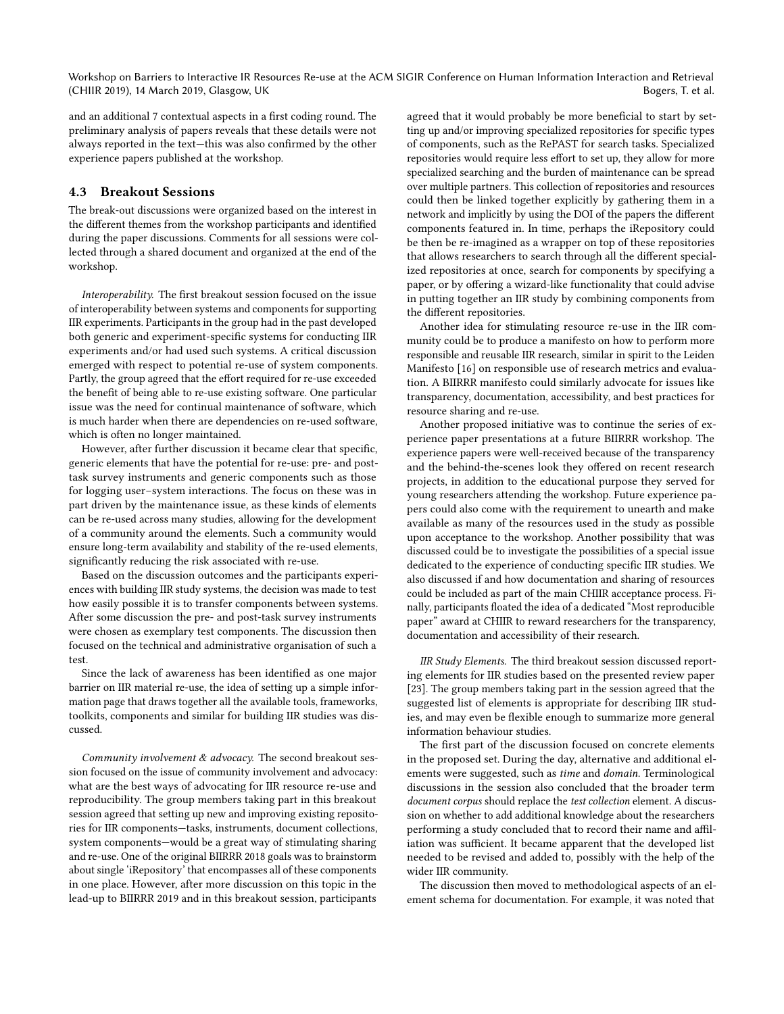Workshop on Barriers to Interactive IR Resources Re-use at the ACM SIGIR Conference on Human Information Interaction and Retrieval (CHIIR 2019), 14 March 2019, Glasgow, UK Bogers, T. et al.

and an additional 7 contextual aspects in a first coding round. The preliminary analysis of papers reveals that these details were not always reported in the text—this was also confirmed by the other experience papers published at the workshop.

#### 4.3 Breakout Sessions

The break-out discussions were organized based on the interest in the different themes from the workshop participants and identified during the paper discussions. Comments for all sessions were collected through a shared document and organized at the end of the workshop.

Interoperability. The first breakout session focused on the issue of interoperability between systems and components for supporting IIR experiments. Participants in the group had in the past developed both generic and experiment-specific systems for conducting IIR experiments and/or had used such systems. A critical discussion emerged with respect to potential re-use of system components. Partly, the group agreed that the effort required for re-use exceeded the benefit of being able to re-use existing software. One particular issue was the need for continual maintenance of software, which is much harder when there are dependencies on re-used software, which is often no longer maintained.

However, after further discussion it became clear that specific, generic elements that have the potential for re-use: pre- and posttask survey instruments and generic components such as those for logging user–system interactions. The focus on these was in part driven by the maintenance issue, as these kinds of elements can be re-used across many studies, allowing for the development of a community around the elements. Such a community would ensure long-term availability and stability of the re-used elements, significantly reducing the risk associated with re-use.

Based on the discussion outcomes and the participants experiences with building IIR study systems, the decision was made to test how easily possible it is to transfer components between systems. After some discussion the pre- and post-task survey instruments were chosen as exemplary test components. The discussion then focused on the technical and administrative organisation of such a test.

Since the lack of awareness has been identified as one major barrier on IIR material re-use, the idea of setting up a simple information page that draws together all the available tools, frameworks, toolkits, components and similar for building IIR studies was discussed.

Community involvement & advocacy. The second breakout session focused on the issue of community involvement and advocacy: what are the best ways of advocating for IIR resource re-use and reproducibility. The group members taking part in this breakout session agreed that setting up new and improving existing repositories for IIR components—tasks, instruments, document collections, system components—would be a great way of stimulating sharing and re-use. One of the original BIIRRR 2018 goals was to brainstorm about single 'iRepository' that encompasses all of these components in one place. However, after more discussion on this topic in the lead-up to BIIRRR 2019 and in this breakout session, participants

agreed that it would probably be more beneficial to start by setting up and/or improving specialized repositories for specific types of components, such as the RePAST for search tasks. Specialized repositories would require less effort to set up, they allow for more specialized searching and the burden of maintenance can be spread over multiple partners. This collection of repositories and resources could then be linked together explicitly by gathering them in a network and implicitly by using the DOI of the papers the different components featured in. In time, perhaps the iRepository could be then be re-imagined as a wrapper on top of these repositories that allows researchers to search through all the different specialized repositories at once, search for components by specifying a paper, or by offering a wizard-like functionality that could advise in putting together an IIR study by combining components from the different repositories.

Another idea for stimulating resource re-use in the IIR community could be to produce a manifesto on how to perform more responsible and reusable IIR research, similar in spirit to the Leiden Manifesto [\[16\]](#page-5-13) on responsible use of research metrics and evaluation. A BIIRRR manifesto could similarly advocate for issues like transparency, documentation, accessibility, and best practices for resource sharing and re-use.

Another proposed initiative was to continue the series of experience paper presentations at a future BIIRRR workshop. The experience papers were well-received because of the transparency and the behind-the-scenes look they offered on recent research projects, in addition to the educational purpose they served for young researchers attending the workshop. Future experience papers could also come with the requirement to unearth and make available as many of the resources used in the study as possible upon acceptance to the workshop. Another possibility that was discussed could be to investigate the possibilities of a special issue dedicated to the experience of conducting specific IIR studies. We also discussed if and how documentation and sharing of resources could be included as part of the main CHIIR acceptance process. Finally, participants floated the idea of a dedicated "Most reproducible paper" award at CHIIR to reward researchers for the transparency, documentation and accessibility of their research.

IIR Study Elements. The third breakout session discussed reporting elements for IIR studies based on the presented review paper [\[23\]](#page-5-9). The group members taking part in the session agreed that the suggested list of elements is appropriate for describing IIR studies, and may even be flexible enough to summarize more general information behaviour studies.

The first part of the discussion focused on concrete elements in the proposed set. During the day, alternative and additional elements were suggested, such as time and domain. Terminological discussions in the session also concluded that the broader term document corpus should replace the test collection element. A discussion on whether to add additional knowledge about the researchers performing a study concluded that to record their name and affiliation was sufficient. It became apparent that the developed list needed to be revised and added to, possibly with the help of the wider IIR community.

The discussion then moved to methodological aspects of an element schema for documentation. For example, it was noted that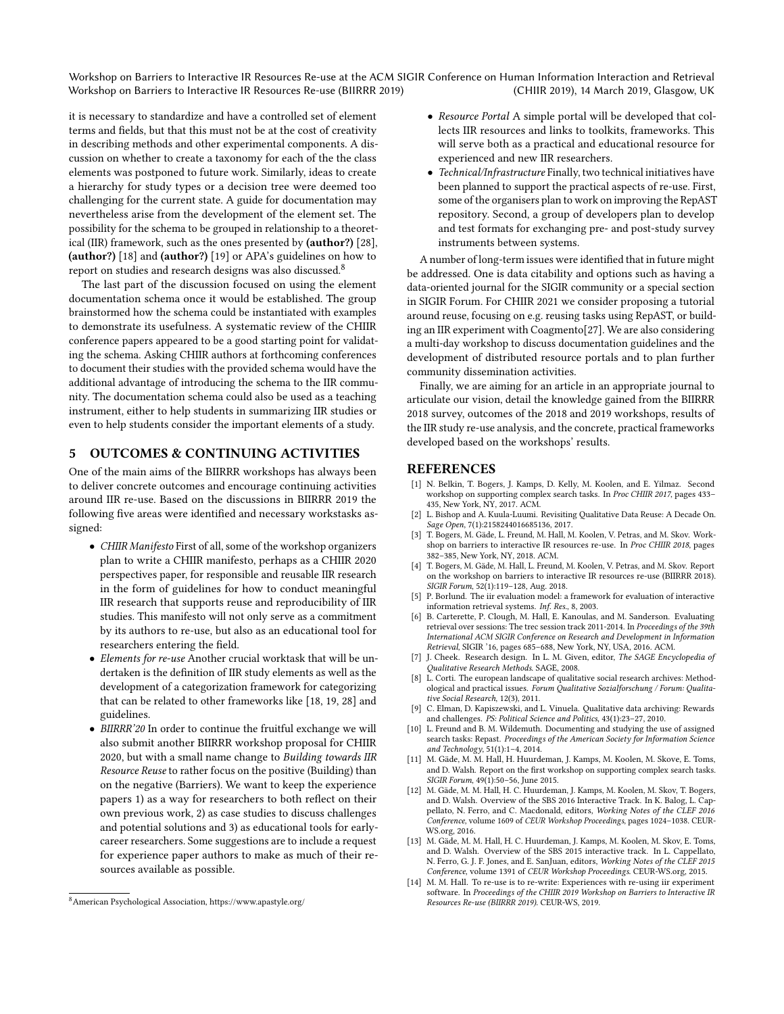Workshop on Barriers to Interactive IR Resources Re-use (BIIRRR 2019) Workshop on Barriers to Interactive IR Resources Re-use at the ACM SIGIR Conference on Human Information Interaction and Retrieval (CHIIR 2019), 14 March 2019, Glasgow, UK

it is necessary to standardize and have a controlled set of element terms and fields, but that this must not be at the cost of creativity in describing methods and other experimental components. A discussion on whether to create a taxonomy for each of the the class elements was postponed to future work. Similarly, ideas to create a hierarchy for study types or a decision tree were deemed too challenging for the current state. A guide for documentation may nevertheless arise from the development of the element set. The possibility for the schema to be grouped in relationship to a theoretical (IIR) framework, such as the ones presented by (author?) [\[28\]](#page-5-14), (author?) [\[18\]](#page-5-15) and (author?) [\[19\]](#page-5-8) or APA's guidelines on how to report on studies and research designs was also discussed.<sup>[8](#page-0-0)</sup>

The last part of the discussion focused on using the element documentation schema once it would be established. The group brainstormed how the schema could be instantiated with examples to demonstrate its usefulness. A systematic review of the CHIIR conference papers appeared to be a good starting point for validating the schema. Asking CHIIR authors at forthcoming conferences to document their studies with the provided schema would have the additional advantage of introducing the schema to the IIR community. The documentation schema could also be used as a teaching instrument, either to help students in summarizing IIR studies or even to help students consider the important elements of a study.

## 5 OUTCOMES & CONTINUING ACTIVITIES

One of the main aims of the BIIRRR workshops has always been to deliver concrete outcomes and encourage continuing activities around IIR re-use. Based on the discussions in BIIRRR 2019 the following five areas were identified and necessary workstasks assigned:

- CHIIR Manifesto First of all, some of the workshop organizers plan to write a CHIIR manifesto, perhaps as a CHIIR 2020 perspectives paper, for responsible and reusable IIR research in the form of guidelines for how to conduct meaningful IIR research that supports reuse and reproducibility of IIR studies. This manifesto will not only serve as a commitment by its authors to re-use, but also as an educational tool for researchers entering the field.
- Elements for re-use Another crucial worktask that will be undertaken is the definition of IIR study elements as well as the development of a categorization framework for categorizing that can be related to other frameworks like [\[18,](#page-5-15) [19,](#page-5-8) [28\]](#page-5-14) and guidelines.
- BIIRRR'20 In order to continue the fruitful exchange we will also submit another BIIRRR workshop proposal for CHIIR 2020, but with a small name change to Building towards IIR Resource Reuse to rather focus on the positive (Building) than on the negative (Barriers). We want to keep the experience papers 1) as a way for researchers to both reflect on their own previous work, 2) as case studies to discuss challenges and potential solutions and 3) as educational tools for earlycareer researchers. Some suggestions are to include a request for experience paper authors to make as much of their resources available as possible.
- Resource Portal A simple portal will be developed that collects IIR resources and links to toolkits, frameworks. This will serve both as a practical and educational resource for experienced and new IIR researchers.
- Technical/Infrastructure Finally, two technical initiatives have been planned to support the practical aspects of re-use. First, some of the organisers plan to work on improving the RepAST repository. Second, a group of developers plan to develop and test formats for exchanging pre- and post-study survey instruments between systems.

A number of long-term issues were identified that in future might be addressed. One is data citability and options such as having a data-oriented journal for the SIGIR community or a special section in SIGIR Forum. For CHIIR 2021 we consider proposing a tutorial around reuse, focusing on e.g. reusing tasks using RepAST, or building an IIR experiment with Coagmento[\[27\]](#page-5-16). We are also considering a multi-day workshop to discuss documentation guidelines and the development of distributed resource portals and to plan further community dissemination activities.

Finally, we are aiming for an article in an appropriate journal to articulate our vision, detail the knowledge gained from the BIIRRR 2018 survey, outcomes of the 2018 and 2019 workshops, results of the IIR study re-use analysis, and the concrete, practical frameworks developed based on the workshops' results.

#### REFERENCES

- <span id="page-4-0"></span>[1] N. Belkin, T. Bogers, J. Kamps, D. Kelly, M. Koolen, and E. Yilmaz. Second workshop on supporting complex search tasks. In Proc CHIIR 2017, pages 433– 435, New York, NY, 2017. ACM.
- <span id="page-4-8"></span>[2] L. Bishop and A. Kuula-Luumi. Revisiting Qualitative Data Reuse: A Decade On. Sage Open, 7(1):2158244016685136, 2017.
- <span id="page-4-1"></span>[3] T. Bogers, M. Gäde, L. Freund, M. Hall, M. Koolen, V. Petras, and M. Skov. Workshop on barriers to interactive IR resources re-use. In Proc CHIIR 2018, pages 382–385, New York, NY, 2018. ACM.
- <span id="page-4-2"></span>[4] T. Bogers, M. Gäde, M. Hall, L. Freund, M. Koolen, V. Petras, and M. Skov. Report on the workshop on barriers to interactive IR resources re-use (BIIRRR 2018). SIGIR Forum, 52(1):119–128, Aug. 2018.
- <span id="page-4-13"></span>[5] P. Borlund. The iir evaluation model: a framework for evaluation of interactive information retrieval systems. Inf. Res., 8, 2003.
- <span id="page-4-3"></span>[6] B. Carterette, P. Clough, M. Hall, E. Kanoulas, and M. Sanderson. Evaluating retrieval over sessions: The trec session track 2011-2014. In Proceedings of the 39th International ACM SIGIR Conference on Research and Development in Information Retrieval, SIGIR '16, pages 685–688, New York, NY, USA, 2016. ACM.
- <span id="page-4-10"></span>J. Cheek. Research design. In L. M. Given, editor, The SAGE Encyclopedia of Qualitative Research Methods. SAGE, 2008.
- <span id="page-4-11"></span>[8] L. Corti. The european landscape of qualitative social research archives: Methodological and practical issues. Forum Qualitative Sozialforschung / Forum: Qualitative Social Research, 12(3), 2011.
- <span id="page-4-9"></span>[9] C. Elman, D. Kapiszewski, and L. Vinuela. Qualitative data archiving: Rewards and challenges. PS: Political Science and Politics, 43(1):23–27, 2010.
- <span id="page-4-6"></span>[10] L. Freund and B. M. Wildemuth. Documenting and studying the use of assigned search tasks: Repast. Proceedings of the American Society for Information Science and Technology, 51(1):1–4, 2014.
- <span id="page-4-7"></span>[11] M. Gäde, M. M. Hall, H. Huurdeman, J. Kamps, M. Koolen, M. Skove, E. Toms, and D. Walsh. Report on the first workshop on supporting complex search tasks. SIGIR Forum, 49(1):50-56, June 2015.
- <span id="page-4-4"></span>[12] M. Gäde, M. M. Hall, H. C. Huurdeman, J. Kamps, M. Koolen, M. Skov, T. Bogers, and D. Walsh. Overview of the SBS 2016 Interactive Track. In K. Balog, L. Cappellato, N. Ferro, and C. Macdonald, editors, Working Notes of the CLEF 2016 Conference, volume 1609 of CEUR Workshop Proceedings, pages 1024–1038. CEUR-WS.org, 2016.
- <span id="page-4-5"></span>[13] M. Gäde, M. M. Hall, H. C. Huurdeman, J. Kamps, M. Koolen, M. Skov, E. Toms, and D. Walsh. Overview of the SBS 2015 interactive track. In L. Cappellato, N. Ferro, G. J. F. Jones, and E. SanJuan, editors, Working Notes of the CLEF 2015 Conference, volume 1391 of CEUR Workshop Proceedings. CEUR-WS.org, 2015.
- <span id="page-4-12"></span>[14] M. M. Hall. To re-use is to re-write: Experiences with re-using iir experiment software. In Proceedings of the CHIIR 2019 Workshop on Barriers to Interactive IR Resources Re-use (BIIRRR 2019). CEUR-WS, 2019.

 $^8\!$  American Psychological Association,<https://www.apastyle.org/>